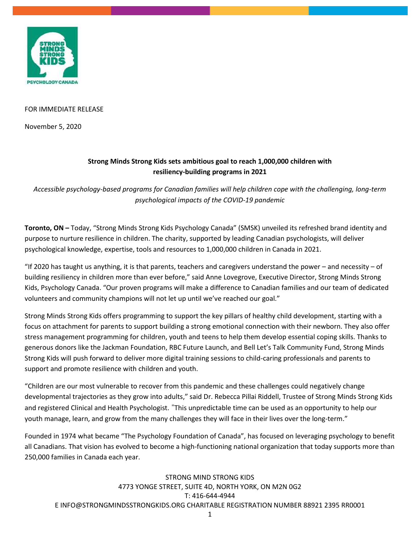

#### FOR IMMEDIATE RELEASE

November 5, 2020

## **Strong Minds Strong Kids sets ambitious goal to reach 1,000,000 children with resiliency-building programs in 2021**

*Accessible psychology-based programs for Canadian families will help children cope with the challenging, long-term psychological impacts of the COVID-19 pandemic*

**Toronto, ON –** Today, "Strong Minds Strong Kids Psychology Canada" (SMSK) unveiled its refreshed brand identity and purpose to nurture resilience in children. The charity, supported by leading Canadian psychologists, will deliver psychological knowledge, expertise, tools and resources to 1,000,000 children in Canada in 2021.

"If 2020 has taught us anything, it is that parents, teachers and caregivers understand the power – and necessity – of building resiliency in children more than ever before," said Anne Lovegrove, Executive Director, Strong Minds Strong Kids, Psychology Canada. "Our proven programs will make a difference to Canadian families and our team of dedicated volunteers and community champions will not let up until we've reached our goal."

Strong Minds Strong Kids offers programming to support the key pillars of healthy child development, starting with a focus on attachment for parents to support building a strong emotional connection with their newborn. They also offer stress management programming for children, youth and teens to help them develop essential coping skills. Thanks to generous donors like the Jackman Foundation, RBC Future Launch, and Bell Let's Talk Community Fund, Strong Minds Strong Kids will push forward to deliver more digital training sessions to child-caring professionals and parents to support and promote resilience with children and youth.

"Children are our most vulnerable to recover from this pandemic and these challenges could negatively change developmental trajectories as they grow into adults," said Dr. Rebecca Pillai Riddell, Trustee of Strong Minds Strong Kids and registered Clinical and Health Psychologist. "This unpredictable time can be used as an opportunity to help our youth manage, learn, and grow from the many challenges they will face in their lives over the long-term."

Founded in 1974 what became "The Psychology Foundation of Canada", has focused on leveraging psychology to benefit all Canadians. That vision has evolved to become a high-functioning national organization that today supports more than 250,000 families in Canada each year.

# STRONG MIND STRONG KIDS 4773 YONGE STREET, SUITE 4D, NORTH YORK, ON M2N 0G2 T: 416-644-4944 E INFO@STRONGMINDSSTRONGKIDS.ORG CHARITABLE REGISTRATION NUMBER 88921 2395 RR0001